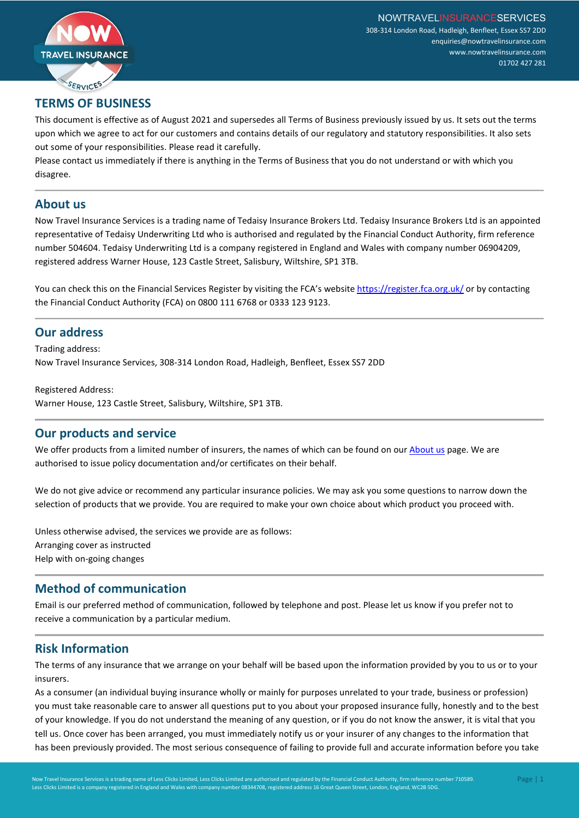

# **TERMS OF BUSINESS**

This document is effective as of August 2021 and supersedes all Terms of Business previously issued by us. It sets out the terms upon which we agree to act for our customers and contains details of our regulatory and statutory responsibilities. It also sets out some of your responsibilities. Please read it carefully.

Please contact us immediately if there is anything in the Terms of Business that you do not understand or with which you disagree.

#### **About us**

Now Travel Insurance Services is a trading name of Tedaisy Insurance Brokers Ltd. Tedaisy Insurance Brokers Ltd is an appointed representative of Tedaisy Underwriting Ltd who is authorised and regulated by the Financial Conduct Authority, firm reference number 504604. Tedaisy Underwriting Ltd is a company registered in England and Wales with company number 06904209, registered address Warner House, 123 Castle Street, Salisbury, Wiltshire, SP1 3TB.

You can check this on the Financial Services Register by visiting the FCA's websit[e https://register.fca.org.uk/](https://register.fca.org.uk/) or by contacting the Financial Conduct Authority (FCA) on 0800 111 6768 or 0333 123 9123.

## **Our address**

Trading address: Now Travel Insurance Services, 308-314 London Road, Hadleigh, Benfleet, Essex SS7 2DD

Registered Address: Warner House, 123 Castle Street, Salisbury, Wiltshire, SP1 3TB.

## **Our products and service**

We offer products from a limited number of insurers, the names of which can be found on our **About us** page. We are authorised to issue policy documentation and/or certificates on their behalf.

We do not give advice or recommend any particular insurance policies. We may ask you some questions to narrow down the selection of products that we provide. You are required to make your own choice about which product you proceed with.

Unless otherwise advised, the services we provide are as follows: Arranging cover as instructed Help with on-going changes

## **Method of communication**

Email is our preferred method of communication, followed by telephone and post. Please let us know if you prefer not to receive a communication by a particular medium.

# **Risk Information**

The terms of any insurance that we arrange on your behalf will be based upon the information provided by you to us or to your insurers.

As a consumer (an individual buying insurance wholly or mainly for purposes unrelated to your trade, business or profession) you must take reasonable care to answer all questions put to you about your proposed insurance fully, honestly and to the best of your knowledge. If you do not understand the meaning of any question, or if you do not know the answer, it is vital that you tell us. Once cover has been arranged, you must immediately notify us or your insurer of any changes to the information that has been previously provided. The most serious consequence of failing to provide full and accurate information before you take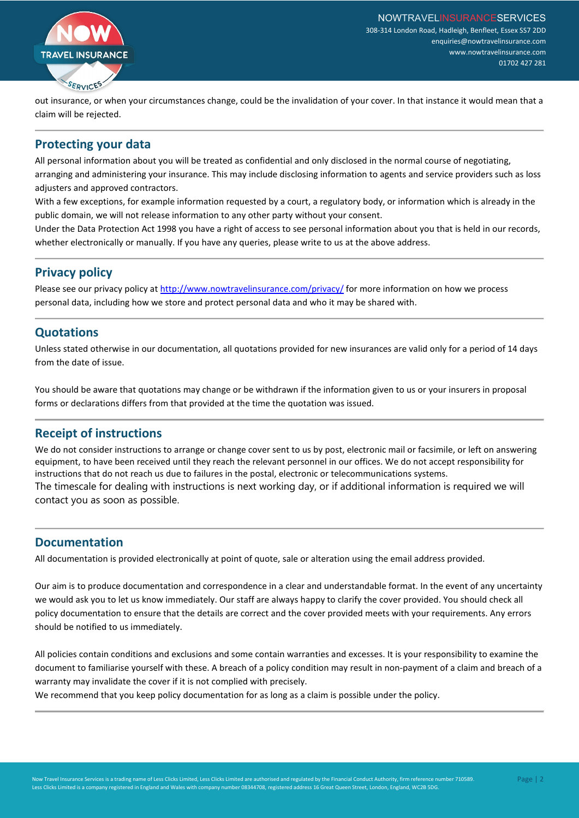

out insurance, or when your circumstances change, could be the invalidation of your cover. In that instance it would mean that a claim will be rejected.

## **Protecting your data**

All personal information about you will be treated as confidential and only disclosed in the normal course of negotiating, arranging and administering your insurance. This may include disclosing information to agents and service providers such as loss adjusters and approved contractors.

With a few exceptions, for example information requested by a court, a regulatory body, or information which is already in the public domain, we will not release information to any other party without your consent.

Under the Data Protection Act 1998 you have a right of access to see personal information about you that is held in our records, whether electronically or manually. If you have any queries, please write to us at the above address.

# **Privacy policy**

Please see our privacy policy a[t http://www.nowtravelinsurance.com/privacy/](http://www.nowtravelinsurance.com/privacy/) for more information on how we process personal data, including how we store and protect personal data and who it may be shared with.

# **Quotations**

Unless stated otherwise in our documentation, all quotations provided for new insurances are valid only for a period of 14 days from the date of issue.

You should be aware that quotations may change or be withdrawn if the information given to us or your insurers in proposal forms or declarations differs from that provided at the time the quotation was issued.

# **Receipt of instructions**

We do not consider instructions to arrange or change cover sent to us by post, electronic mail or facsimile, or left on answering equipment, to have been received until they reach the relevant personnel in our offices. We do not accept responsibility for instructions that do not reach us due to failures in the postal, electronic or telecommunications systems. The timescale for dealing with instructions is next working day, or if additional information is required we will contact you as soon as possible.

## **Documentation**

All documentation is provided electronically at point of quote, sale or alteration using the email address provided.

Our aim is to produce documentation and correspondence in a clear and understandable format. In the event of any uncertainty we would ask you to let us know immediately. Our staff are always happy to clarify the cover provided. You should check all policy documentation to ensure that the details are correct and the cover provided meets with your requirements. Any errors should be notified to us immediately.

All policies contain conditions and exclusions and some contain warranties and excesses. It is your responsibility to examine the document to familiarise yourself with these. A breach of a policy condition may result in non-payment of a claim and breach of a warranty may invalidate the cover if it is not complied with precisely.

We recommend that you keep policy documentation for as long as a claim is possible under the policy.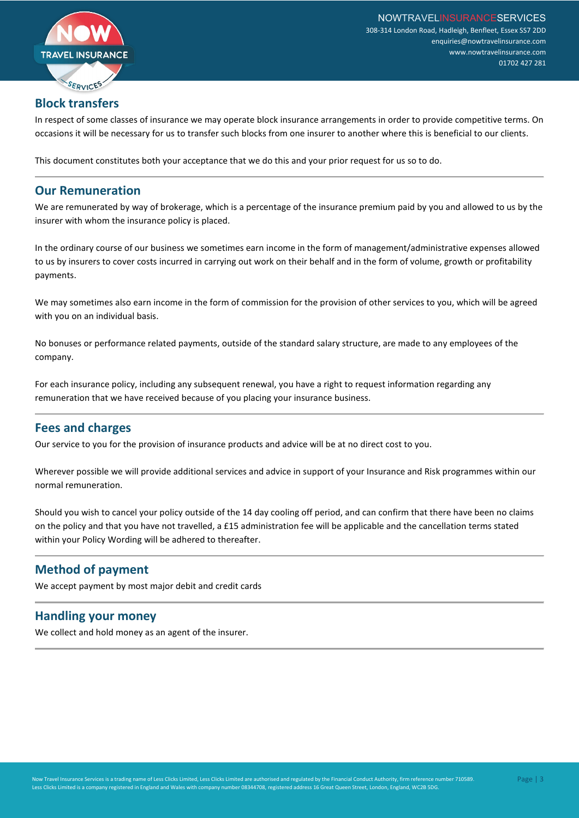

# **Block transfers**

In respect of some classes of insurance we may operate block insurance arrangements in order to provide competitive terms. On occasions it will be necessary for us to transfer such blocks from one insurer to another where this is beneficial to our clients.

This document constitutes both your acceptance that we do this and your prior request for us so to do.

#### **Our Remuneration**

We are remunerated by way of brokerage, which is a percentage of the insurance premium paid by you and allowed to us by the insurer with whom the insurance policy is placed.

In the ordinary course of our business we sometimes earn income in the form of management/administrative expenses allowed to us by insurers to cover costs incurred in carrying out work on their behalf and in the form of volume, growth or profitability payments.

We may sometimes also earn income in the form of commission for the provision of other services to you, which will be agreed with you on an individual basis.

No bonuses or performance related payments, outside of the standard salary structure, are made to any employees of the company.

For each insurance policy, including any subsequent renewal, you have a right to request information regarding any remuneration that we have received because of you placing your insurance business.

## **Fees and charges**

Our service to you for the provision of insurance products and advice will be at no direct cost to you.

Wherever possible we will provide additional services and advice in support of your Insurance and Risk programmes within our normal remuneration.

Should you wish to cancel your policy outside of the 14 day cooling off period, and can confirm that there have been no claims on the policy and that you have not travelled, a £15 administration fee will be applicable and the cancellation terms stated within your Policy Wording will be adhered to thereafter.

# **Method of payment**

We accept payment by most major debit and credit cards

## **Handling your money**

We collect and hold money as an agent of the insurer.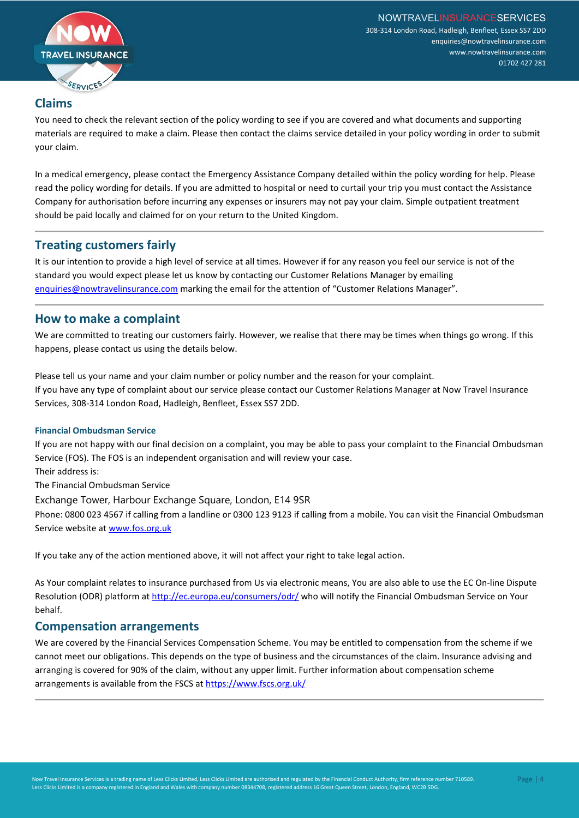

# **Claims**

You need to check the relevant section of the policy wording to see if you are covered and what documents and supporting materials are required to make a claim. Please then contact the claims service detailed in your policy wording in order to submit your claim.

In a medical emergency, please contact the Emergency Assistance Company detailed within the policy wording for help. Please read the policy wording for details. If you are admitted to hospital or need to curtail your trip you must contact the Assistance Company for authorisation before incurring any expenses or insurers may not pay your claim. Simple outpatient treatment should be paid locally and claimed for on your return to the United Kingdom.

## **Treating customers fairly**

It is our intention to provide a high level of service at all times. However if for any reason you feel our service is not of the standard you would expect please let us know by contacting our Customer Relations Manager by emailing [enquiries@nowtravelinsurance.com](mailto:enquiries@nowtravelinsurance.com) marking the email for the attention of "Customer Relations Manager".

## **How to make a complaint**

We are committed to treating our customers fairly. However, we realise that there may be times when things go wrong. If this happens, please contact us using the details below.

Please tell us your name and your claim number or policy number and the reason for your complaint. If you have any type of complaint about our service please contact our Customer Relations Manager at Now Travel Insurance Services, 308-314 London Road, Hadleigh, Benfleet, Essex SS7 2DD.

#### **Financial Ombudsman Service**

If you are not happy with our final decision on a complaint, you may be able to pass your complaint to the Financial Ombudsman Service (FOS). The FOS is an independent organisation and will review your case.

Their address is:

The Financial Ombudsman Service

Exchange Tower, Harbour Exchange Square, London, E14 9SR

Phone: 0800 023 4567 if calling from a landline or 0300 123 9123 if calling from a mobile. You can visit the Financial Ombudsman Service website at [www.fos.org.uk](http://www.fos.org.uk/)

If you take any of the action mentioned above, it will not affect your right to take legal action.

As Your complaint relates to insurance purchased from Us via electronic means, You are also able to use the EC On-line Dispute Resolution (ODR) platform at<http://ec.europa.eu/consumers/odr/> who will notify the Financial Ombudsman Service on Your behalf.

#### **Compensation arrangements**

We are covered by the Financial Services Compensation Scheme. You may be entitled to compensation from the scheme if we cannot meet our obligations. This depends on the type of business and the circumstances of the claim. Insurance advising and arranging is covered for 90% of the claim, without any upper limit. Further information about compensation scheme arrangements is available from the FSCS a[t https://www.fscs.org.uk/](https://www.fscs.org.uk/)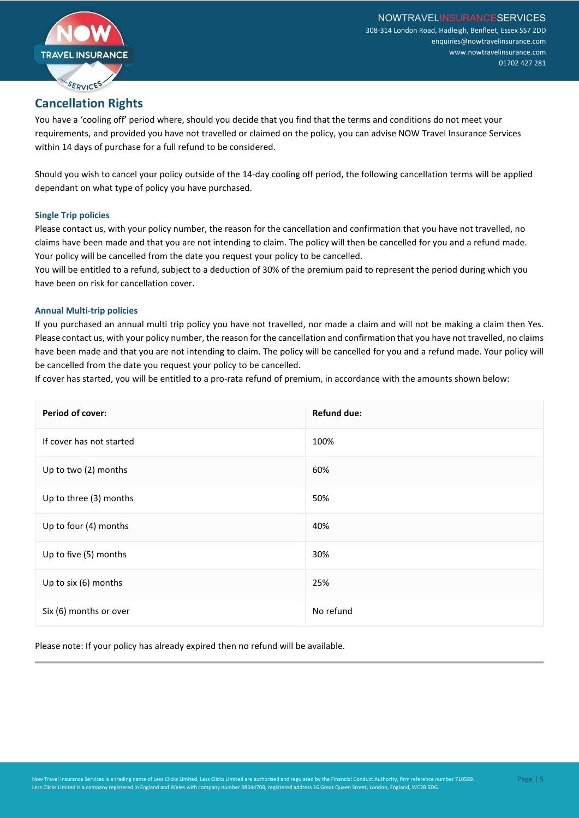

# **Cancellation Rights**

You have a 'cooling off' period where, should you decide that you find that the terms and conditions do not meet your requirements, and provided you have not travelled or claimed on the policy, you can advise NOW Travel Insurance Services within 14 days of purchase for a full refund to be considered.

Should you wish to cancel your policy outside of the 14-day cooling off period, the following cancellation terms will be applied dependant on what type of policy you have purchased.

#### **Single Trip policies**

Please contact us, with your policy number, the reason for the cancellation and confirmation that you have not travelled, no claims have been made and that you are not intending to claim. The policy will then be cancelled for you and a refund made. Your policy will be cancelled from the date you request your policy to be cancelled.

You will be entitled to a refund, subject to a deduction of 30% of the premium paid to represent the period during which you have been on risk for cancellation cover.

#### **Annual Multi-trip policies**

If you purchased an annual multi trip policy you have not travelled, nor made a claim and will not be making a claim then Yes. Please contact us, with your policy number, the reason for the cancellation and confirmation that you have not travelled, no claims have been made and that you are not intending to claim. The policy will be cancelled for you and a refund made. Your policy will be cancelled from the date you request your policy to be cancelled.

If cover has started, you will be entitled to a pro-rata refund of premium, in accordance with the amounts shown below:

| <b>Period of cover:</b>  | <b>Refund due:</b> |
|--------------------------|--------------------|
| If cover has not started | 100%               |
| Up to two (2) months     | 60%                |
| Up to three (3) months   | 50%                |
| Up to four (4) months    | 40%                |
| Up to five (5) months    | 30%                |
| Up to six (6) months     | 25%                |
| Six (6) months or over   | No refund          |

Please note: If your policy has already expired then no refund will be available.